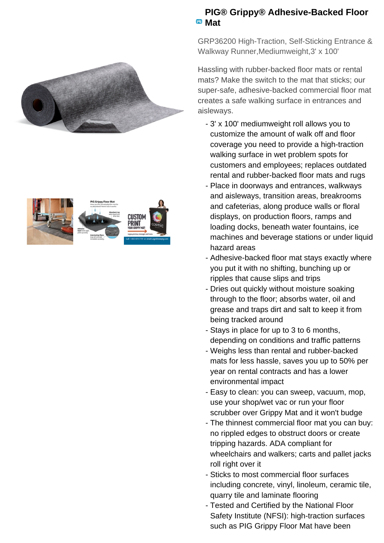



## **PIG® Grippy® Adhesive-Backed Floor Mat**

GRP36200 High-Traction, Self-Sticking Entrance & Walkway Runner,Mediumweight,3' x 100'

Hassling with rubber-backed floor mats or rental mats? Make the switch to the mat that sticks; our super-safe, adhesive-backed commercial floor mat creates a safe walking surface in entrances and aisleways.

- 3' x 100' mediumweight roll allows you to customize the amount of walk off and floor coverage you need to provide a high-traction walking surface in wet problem spots for customers and employees; replaces outdated rental and rubber-backed floor mats and rugs
- Place in doorways and entrances, walkways and aisleways, transition areas, breakrooms and cafeterias, along produce walls or floral displays, on production floors, ramps and loading docks, beneath water fountains, ice machines and beverage stations or under liquid hazard areas
- Adhesive-backed floor mat stays exactly where you put it with no shifting, bunching up or ripples that cause slips and trips
- Dries out quickly without moisture soaking through to the floor; absorbs water, oil and grease and traps dirt and salt to keep it from being tracked around
- Stays in place for up to 3 to 6 months, depending on conditions and traffic patterns
- Weighs less than rental and rubber-backed mats for less hassle, saves you up to 50% per year on rental contracts and has a lower environmental impact
- Easy to clean: you can sweep, vacuum, mop, use your shop/wet vac or run your floor scrubber over Grippy Mat and it won't budge
- The thinnest commercial floor mat you can buy: no rippled edges to obstruct doors or create tripping hazards. ADA compliant for wheelchairs and walkers; carts and pallet jacks roll right over it
- Sticks to most commercial floor surfaces including concrete, vinyl, linoleum, ceramic tile, quarry tile and laminate flooring
- Tested and Certified by the National Floor -Safety Institute (NFSI): high-traction surfaces such as PIG Grippy Floor Mat have been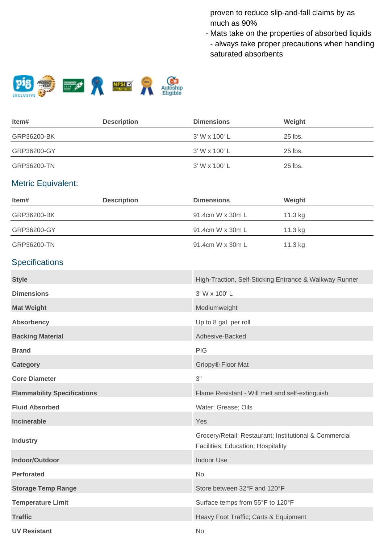proven to reduce slip-and-fall claims by as much as 90%

Mats take on the properties of absorbed liquids - - always take proper precautions when handling saturated absorbents



| ltem#       | <b>Description</b> | <b>Dimensions</b> | Weight    |
|-------------|--------------------|-------------------|-----------|
| GRP36200-BK |                    | 3' W x 100' L     | $25$ lbs. |
| GRP36200-GY |                    | 3' W x 100' L     | 25 lbs.   |
| GRP36200-TN |                    | 3' W x 100' L     | 25 lbs.   |

## Metric Equivalent:

| Item#                              | <b>Description</b> | <b>Dimensions</b>                                                                            | Weight  |
|------------------------------------|--------------------|----------------------------------------------------------------------------------------------|---------|
| GRP36200-BK                        |                    | 91.4cm W x 30m L                                                                             | 11.3 kg |
| GRP36200-GY                        |                    | 91.4cm W x 30m L                                                                             | 11.3 kg |
| GRP36200-TN                        |                    | 91.4cm W x 30m L                                                                             | 11.3 kg |
| <b>Specifications</b>              |                    |                                                                                              |         |
| <b>Style</b>                       |                    | High-Traction, Self-Sticking Entrance & Walkway Runner                                       |         |
| <b>Dimensions</b>                  |                    | 3' W x 100' L                                                                                |         |
| <b>Mat Weight</b>                  |                    | Mediumweight                                                                                 |         |
| <b>Absorbency</b>                  |                    | Up to 8 gal. per roll                                                                        |         |
| <b>Backing Material</b>            |                    | Adhesive-Backed                                                                              |         |
| <b>Brand</b>                       |                    | <b>PIG</b>                                                                                   |         |
| <b>Category</b>                    |                    | Grippy® Floor Mat                                                                            |         |
| <b>Core Diameter</b>               |                    | 3"                                                                                           |         |
| <b>Flammability Specifications</b> |                    | Flame Resistant - Will melt and self-extinguish                                              |         |
| <b>Fluid Absorbed</b>              |                    | Water; Grease; Oils                                                                          |         |
| Incinerable                        |                    | Yes                                                                                          |         |
| <b>Industry</b>                    |                    | Grocery/Retail; Restaurant; Institutional & Commercial<br>Facilities; Education; Hospitality |         |
| Indoor/Outdoor                     |                    | <b>Indoor Use</b>                                                                            |         |
| <b>Perforated</b>                  |                    | No                                                                                           |         |
| <b>Storage Temp Range</b>          |                    | Store between 32°F and 120°F                                                                 |         |
| <b>Temperature Limit</b>           |                    | Surface temps from 55°F to 120°F                                                             |         |
| <b>Traffic</b>                     |                    | Heavy Foot Traffic; Carts & Equipment                                                        |         |
| <b>UV Resistant</b>                |                    | No                                                                                           |         |